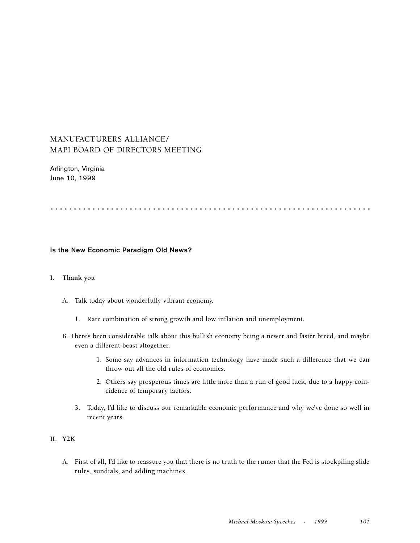# MANUFACTURERS ALLIANCE/ MAPI BOARD OF DIRECTORS MEETING

Arlington, Virginia June 10, 1999

.....................................................................

#### **Is the New Economic Paradigm Old News?**

#### **I. Thank you**

- A. Talk today about wonderfully vibrant economy.
	- 1. Rare combination of strong growth and low inflation and unemployment.
- B. There's been considerable talk about this bullish economy being a newer and faster breed, and maybe even a different beast altogether.
	- 1. Some say advances in information technology have made such a difference that we can throw out all the old rules of economics.
	- 2. Others say prosperous times are little more than a run of good luck, due to a happy coincidence of temporary factors.
	- 3. Today, I'd like to discuss our remarkable economic performance and why we've done so well in recent years.

## **II. Y2K**

A. First of all, I'd like to reassure you that there is no truth to the rumor that the Fed is stockpiling slide rules, sundials, and adding machines.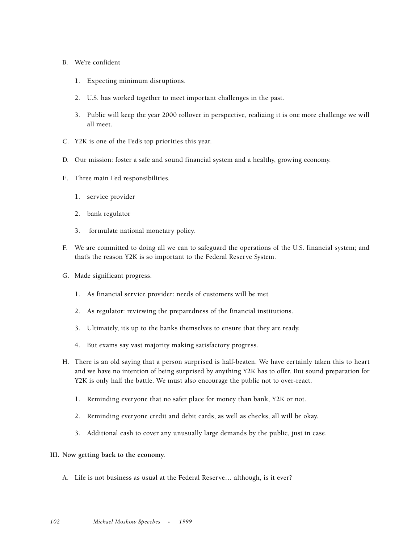#### B. We're confident

- 1. Expecting minimum disruptions.
- 2. U.S. has worked together to meet important challenges in the past.
- 3. Public will keep the year 2000 rollover in perspective, realizing it is one more challenge we will all meet.
- C. Y2K is one of the Fed's top priorities this year.
- D. Our mission: foster a safe and sound financial system and a healthy, growing economy.
- E. Three main Fed responsibilities.
	- 1. service provider
	- 2. bank regulator
	- 3. formulate national monetary policy.
- F. We are committed to doing all we can to safeguard the operations of the U.S. financial system; and that's the reason Y2K is so important to the Federal Reserve System.
- G. Made significant progress.
	- 1. As financial service provider: needs of customers will be met
	- 2. As regulator: reviewing the preparedness of the financial institutions.
	- 3. Ultimately, it's up to the banks themselves to ensure that they are ready.
	- 4. But exams say vast majority making satisfactory progress.
- H. There is an old saying that a person surprised is half-beaten. We have certainly taken this to heart and we have no intention of being surprised by anything Y2K has to offer. But sound preparation for Y2K is only half the battle. We must also encourage the public not to over-react.
	- 1. Reminding everyone that no safer place for money than bank, Y2K or not.
	- 2. Reminding everyone credit and debit cards, as well as checks, all will be okay.
	- 3. Additional cash to cover any unusually large demands by the public, just in case.

#### **III. Now getting back to the economy.**

A. Life is not business as usual at the Federal Reserve… although, is it ever?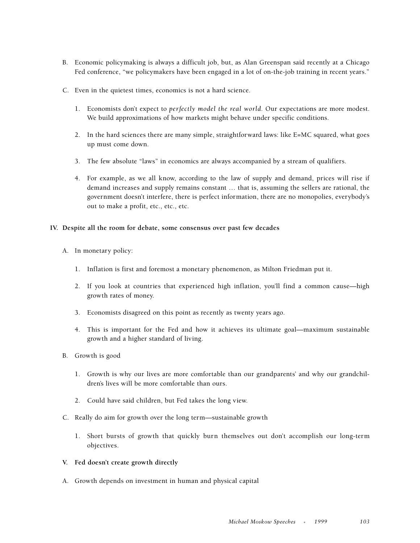- B. Economic policymaking is always a difficult job, but, as Alan Greenspan said recently at a Chicago Fed conference, "we policymakers have been engaged in a lot of on-the-job training in recent years."
- C. Even in the quietest times, economics is not a hard science.
	- 1. Economists don't expect to *perfectly model the real world.* Our expectations are more modest. We build approximations of how markets might behave under specific conditions.
	- 2. In the hard sciences there are many simple, straightforward laws: like E=MC squared, what goes up must come down.
	- 3. The few absolute "laws" in economics are always accompanied by a stream of qualifiers.
	- 4. For example, as we all know, according to the law of supply and demand, prices will rise if demand increases and supply remains constant … that is, assuming the sellers are rational, the government doesn't interfere, there is perfect information, there are no monopolies, everybody's out to make a profit, etc., etc., etc.

#### **IV. Despite all the room for debate, some consensus over past few decades**

- A. In monetary policy:
	- 1. Inflation is first and foremost a monetary phenomenon, as Milton Friedman put it.
	- 2. If you look at countries that experienced high inflation, you'll find a common cause—high growth rates of money.
	- 3. Economists disagreed on this point as recently as twenty years ago.
	- 4. This is important for the Fed and how it achieves its ultimate goal—maximum sustainable growth and a higher standard of living.
- B. Growth is good
	- 1. Growth is why our lives are more comfortable than our grandparents' and why our grandchildren's lives will be more comfortable than ours.
	- 2. Could have said children, but Fed takes the long view.
- C. Really do aim for growth over the long term—sustainable growth
	- 1. Short bursts of growth that quickly burn themselves out don't accomplish our long-term objectives.
- **V. Fed doesn't create growth directly**
- A. Growth depends on investment in human and physical capital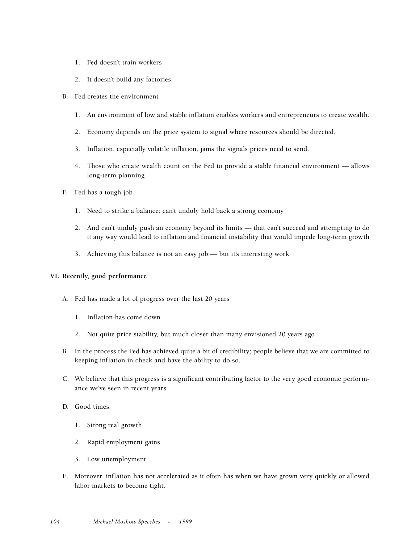- 1. Fed doesn't train workers
- 2. It doesn't build any factories
- B. Fed creates the environment
	- 1. An environment of low and stable inflation enables workers and entrepreneurs to create wealth.
	- 2. Economy depends on the price system to signal where resources should be directed.
	- 3. Inflation, especially volatile inflation, jams the signals prices need to send.
	- 4. Those who create wealth count on the Fed to provide a stable financial environment allows long-term planning
- F. Fed has a tough job
	- 1. Need to strike a balance: can't unduly hold back a strong economy
	- 2. And can't unduly push an economy beyond its limits that can't succeed and attempting to do it any way would lead to inflation and financial instability that would impede long-term growth
	- 3. Achieving this balance is not an easy job but it's interesting work

#### **VI. Recently, good performance**

- A. Fed has made a lot of progress over the last 20 years
	- 1. Inflation has come down
	- 2. Not quite price stability, but much closer than many envisioned 20 years ago
- B. In the process the Fed has achieved quite a bit of credibility; people believe that we are committed to keeping inflation in check and have the ability to do so.
- C. We believe that this progress is a significant contributing factor to the very good economic performance we've seen in recent years
- D. Good times:
	- 1. Strong real growth
	- 2. Rapid employment gains
	- 3. Low unemployment
- E. Moreover, inflation has not accelerated as it often has when we have grown very quickly or allowed labor markets to become tight.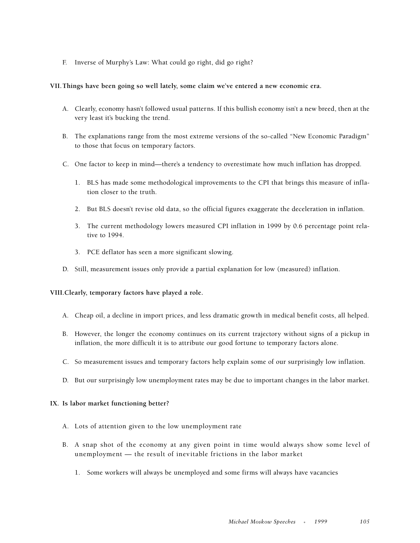F. Inverse of Murphy's Law: What could go right, did go right?

#### **VII.Things have been going so well lately, some claim we've entered a new economic era.**

- A. Clearly, economy hasn't followed usual patterns. If this bullish economy isn't a new breed, then at the very least it's bucking the trend.
- B. The explanations range from the most extreme versions of the so-called "New Economic Paradigm" to those that focus on temporary factors.
- C. One factor to keep in mind—there's a tendency to overestimate how much inflation has dropped.
	- 1. BLS has made some methodological improvements to the CPI that brings this measure of inflation closer to the truth.
	- 2. But BLS doesn't revise old data, so the official figures exaggerate the deceleration in inflation.
	- 3. The current methodology lowers measured CPI inflation in 1999 by 0.6 percentage point relative to 1994.
	- 3. PCE deflator has seen a more significant slowing.
- D. Still, measurement issues only provide a partial explanation for low (measured) inflation.

**VIII.Clearly, temporary factors have played a role.** 

- A. Cheap oil, a decline in import prices, and less dramatic growth in medical benefit costs, all helped.
- B. However, the longer the economy continues on its current trajectory without signs of a pickup in inflation, the more difficult it is to attribute our good fortune to temporary factors alone.
- C. So measurement issues and temporary factors help explain some of our surprisingly low inflation.
- D. But our surprisingly low unemployment rates may be due to important changes in the labor market.

#### **IX. Is labor market functioning better?**

- A. Lots of attention given to the low unemployment rate
- B. A snap shot of the economy at any given point in time would always show some level of unemployment — the result of inevitable frictions in the labor market
	- 1. Some workers will always be unemployed and some firms will always have vacancies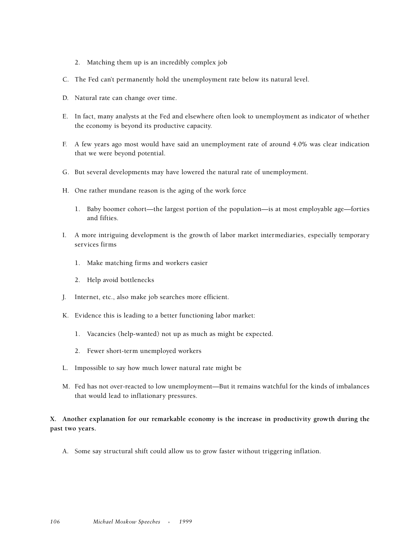- 2. Matching them up is an incredibly complex job
- C. The Fed can't permanently hold the unemployment rate below its natural level.
- D. Natural rate can change over time.
- E. In fact, many analysts at the Fed and elsewhere often look to unemployment as indicator of whether the economy is beyond its productive capacity.
- F. A few years ago most would have said an unemployment rate of around 4.0% was clear indication that we were beyond potential.
- G. But several developments may have lowered the natural rate of unemployment.
- H. One rather mundane reason is the aging of the work force
	- 1. Baby boomer cohort—the largest portion of the population—is at most employable age—forties and fifties.
- I. A more intriguing development is the growth of labor market intermediaries, especially temporary services firms
	- 1. Make matching firms and workers easier
	- 2. Help avoid bottlenecks
- J. Internet, etc., also make job searches more efficient.
- K. Evidence this is leading to a better functioning labor market:
	- 1. Vacancies (help-wanted) not up as much as might be expected.
	- 2. Fewer short-term unemployed workers
- L. Impossible to say how much lower natural rate might be
- M. Fed has not over-reacted to low unemployment—But it remains watchful for the kinds of imbalances that would lead to inflationary pressures.

**X. Another explanation for our remarkable economy is the increase in productivity growth during the past two years.**

A. Some say structural shift could allow us to grow faster without triggering inflation.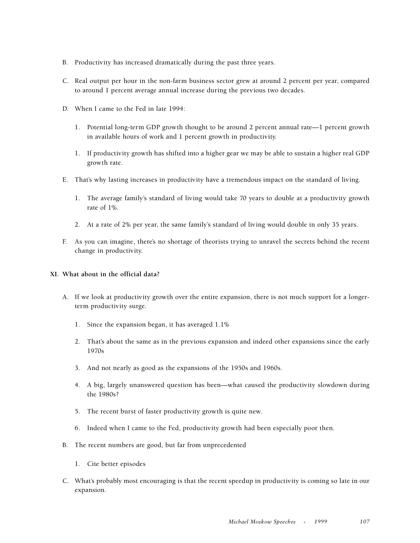- B. Productivity has increased dramatically during the past three years.
- C. Real output per hour in the non-farm business sector grew at around 2 percent per year, compared to around 1 percent average annual increase during the previous two decades.
- D. When I came to the Fed in late 1994:
	- 1. Potential long-term GDP growth thought to be around 2 percent annual rate—1 percent growth in available hours of work and 1 percent growth in productivity.
	- 1. If productivity growth has shifted into a higher gear we may be able to sustain a higher real GDP growth rate.
- E. That's why lasting increases in productivity have a tremendous impact on the standard of living.
	- 1. The average family's standard of living would take 70 years to double at a productivity growth rate of 1%.
	- 2. At a rate of 2% per year, the same family's standard of living would double in only 35 years.
- F. As you can imagine, there's no shortage of theorists trying to unravel the secrets behind the recent change in productivity.

#### **XI. What about in the official data?**

- A. If we look at productivity growth over the entire expansion, there is not much support for a longerterm productivity surge.
	- 1. Since the expansion began, it has averaged 1.1%
	- 2. That's about the same as in the previous expansion and indeed other expansions since the early 1970s
	- 3. And not nearly as good as the expansions of the 1950s and 1960s.
	- 4. A big, largely unanswered question has been—what caused the productivity slowdown during the 1980s?
	- 5. The recent burst of faster productivity growth is quite new.
	- 6. Indeed when I came to the Fed, productivity growth had been especially poor then.
- B. The recent numbers are good, but far from unprecedented
	- 1. Cite better episodes
- C. What's probably most encouraging is that the recent speedup in productivity is coming so late in our expansion.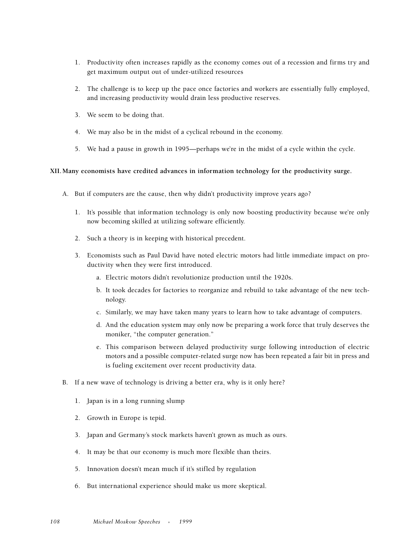- 1. Productivity often increases rapidly as the economy comes out of a recession and firms try and get maximum output out of under-utilized resources
- 2. The challenge is to keep up the pace once factories and workers are essentially fully employed, and increasing productivity would drain less productive reserves.
- 3. We seem to be doing that.
- 4. We may also be in the midst of a cyclical rebound in the economy.
- 5. We had a pause in growth in 1995—perhaps we're in the midst of a cycle within the cycle.

#### **XII.Many economists have credited advances in information technology for the productivity surge.**

- A. But if computers are the cause, then why didn't productivity improve years ago?
	- 1. It's possible that information technology is only now boosting productivity because we're only now becoming skilled at utilizing software efficiently.
	- 2. Such a theory is in keeping with historical precedent.
	- 3. Economists such as Paul David have noted electric motors had little immediate impact on productivity when they were first introduced.
		- a. Electric motors didn't revolutionize production until the 1920s.
		- b. It took decades for factories to reorganize and rebuild to take advantage of the new technology.
		- c. Similarly, we may have taken many years to learn how to take advantage of computers.
		- d. And the education system may only now be preparing a work force that truly deserves the moniker, "the computer generation."
		- e. This comparison between delayed productivity surge following introduction of electric motors and a possible computer-related surge now has been repeated a fair bit in press and is fueling excitement over recent productivity data.
- B. If a new wave of technology is driving a better era, why is it only here?
	- 1. Japan is in a long running slump
	- 2. Growth in Europe is tepid.
	- 3. Japan and Germany's stock markets haven't grown as much as ours.
	- 4. It may be that our economy is much more flexible than theirs.
	- 5. Innovation doesn't mean much if it's stifled by regulation
	- 6. But international experience should make us more skeptical.